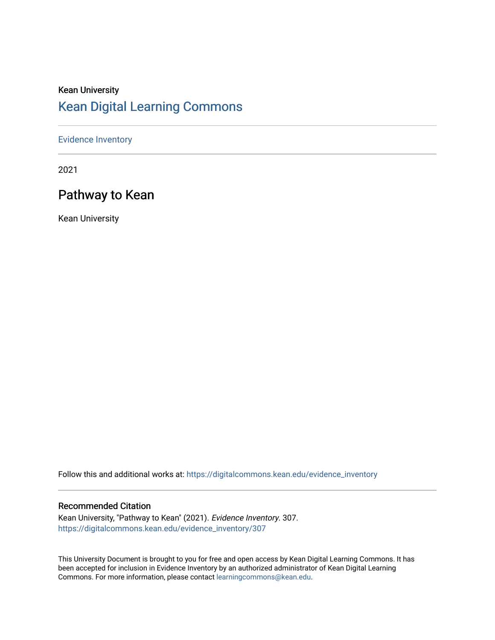# Kean University [Kean Digital Learning Commons](https://digitalcommons.kean.edu/)

#### [Evidence Inventory](https://digitalcommons.kean.edu/evidence_inventory)

2021

# Pathway to Kean

Kean University

Follow this and additional works at: [https://digitalcommons.kean.edu/evidence\\_inventory](https://digitalcommons.kean.edu/evidence_inventory?utm_source=digitalcommons.kean.edu%2Fevidence_inventory%2F307&utm_medium=PDF&utm_campaign=PDFCoverPages)

#### Recommended Citation

Kean University, "Pathway to Kean" (2021). Evidence Inventory. 307. [https://digitalcommons.kean.edu/evidence\\_inventory/307](https://digitalcommons.kean.edu/evidence_inventory/307?utm_source=digitalcommons.kean.edu%2Fevidence_inventory%2F307&utm_medium=PDF&utm_campaign=PDFCoverPages)

This University Document is brought to you for free and open access by Kean Digital Learning Commons. It has been accepted for inclusion in Evidence Inventory by an authorized administrator of Kean Digital Learning Commons. For more information, please contact [learningcommons@kean.edu.](mailto:learningcommons@kean.edu)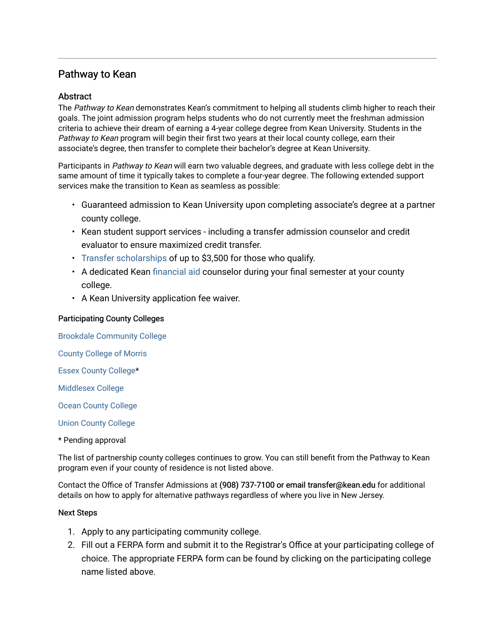#### Pathway to Kean

#### Abstract

The Pathway to Kean demonstrates Kean's commitment to helping all students climb higher to reach their goals. The joint admission program helps students who do not currently meet the freshman admission criteria to achieve their dream of earning a 4-year college degree from Kean University. Students in the Pathway to Kean program will begin their first two years at their local county college, earn their associate's degree, then transfer to complete their bachelor's degree at Kean University.

Participants in Pathway to Kean will earn two valuable degrees, and graduate with less college debt in the same amount of time it typically takes to complete a four-year degree. The following extended support services make the transition to Kean as seamless as possible:

- Guaranteed admission to Kean University upon completing associate's degree at a partner county college.
- Kean student support services including a transfer admission counselor and credit evaluator to ensure maximized credit transfer.
- [Transfer scholarships](https://www.kean.edu/offices/financial-aid-0/transfer-scholarships) of up to \$3,500 for those who qualify.
- A dedicated Kean [financial aid](https://www.kean.edu/offices/financial-aid) counselor during your final semester at your county college.
- A Kean University application fee waiver.

#### Participating County Colleges

[Brookdale Community College](https://www.kean.edu/media/brookdale-ferpa) 

[County College of Morris](https://www.kean.edu/media/ccm-ferpa) 

[Essex County College\\*](https://www.kean.edu/media/ecc-ferpa)

[Middlesex College](https://www.kean.edu/media/middlesex-ferpa)

[Ocean County College](https://www.kean.edu/media/occ-ferpa) 

[Union County College](https://www.kean.edu/media/ucc-ferpa)

\* Pending approval

The list of partnership county colleges continues to grow. You can still benefit from the Pathway to Kean program even if your county of residence is not listed above.

Contact the Office of Transfer Admissions at (908) 737-7100 or email transfer@kean.edu for additional details on how to apply for alternative pathways regardless of where you live in New Jersey.

#### Next Steps

- 1. Apply to any participating community college.
- 2. Fill out a FERPA form and submit it to the Registrar's Office at your participating college of choice. The appropriate FERPA form can be found by clicking on the participating college name listed above.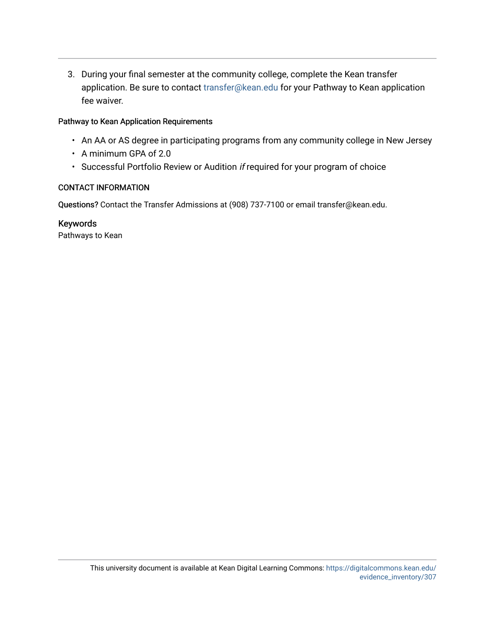3. During your final semester at the community college, complete the Kean transfer application. Be sure to contact [transfer@kean.edu](mailto:transfer@kean.edu) for your Pathway to Kean application fee waiver.

#### Pathway to Kean Application Requirements

- An AA or AS degree in participating programs from any community college in New Jersey
- A minimum GPA of 2.0
- Successful Portfolio Review or Audition if required for your program of choice

#### **CONTACT INFORMATION**

Questions? Contact the Transfer Admissions at (908) 737-7100 or email transfer@kean.edu.

Keywords Pathways to Kean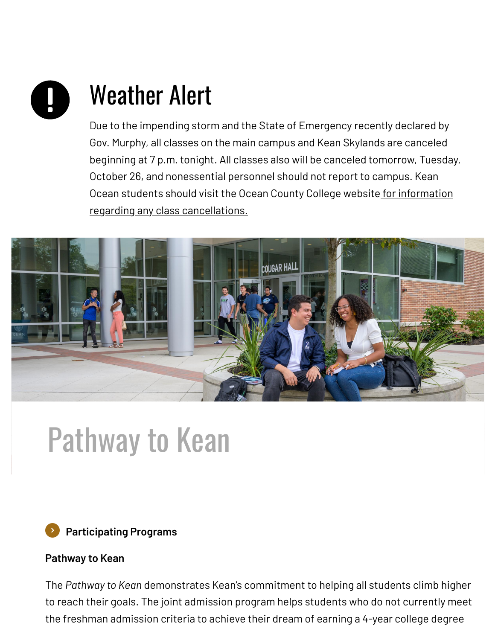# Weather Alert

Due to the impending storm and the State of Emergency recently declared by Gov. Murphy, all classes on the main campus and Kean Skylands are canceled beginning at 7 p.m. tonight. All classes also will be canceled tomorrow, Tuesday, October 26, and nonessential personnel should not report to campus. Kean Ocean students should visit the Ocean County College website for information regarding any class [cancellations.](https://www.ocean.edu/)



# Pathway to Kean

# **[Participating](https://www.kean.edu/participating-programs) Programs**

#### **Pathway to Kean**

The *Pathway to Kean* demonstrates Kean's commitment to helping all students climb higher to reach their goals. The joint admission program helps students who do not currently meet the freshman admission criteria to achieve their dream of earning a 4-year college degree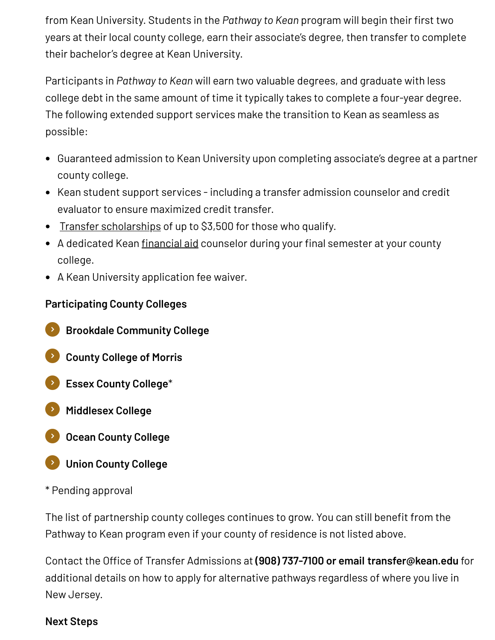from Kean University. Students in the *Pathway to Kean* program will begin their first two years at their local county college, earn their associate's degree, then transfer to complete their bachelor's degree at Kean University.

Participants in *Pathway to Kean* will earn two valuable degrees, and graduate with less college debt in the same amount of time it typically takes to complete a four-year degree. The following extended support services make the transition to Kean as seamless as possible:

- Guaranteed admission to Kean University upon completing associate's degree at a partner county college.
- Kean student support services including a transfer admission counselor and credit evaluator to ensure maximized credit transfer.
- Transfer [scholarships](https://www.kean.edu/offices/financial-aid-0/transfer-scholarships) of up to \$3,500 for those who qualify.
- A dedicated Kean [financial](https://www.kean.edu/offices/financial-aid) aid counselor during your final semester at your county college.
- A Kean University application fee waiver.

# **Participating County Colleges**

- **Brookdale [Community](https://www.kean.edu/media/brookdale-ferpa) College**
- **County [College](https://www.kean.edu/media/ccm-ferpa) of Morris**
- \* **Essex County [College](https://www.kean.edu/media/ecc-ferpa)**
- **[Middlesex](https://www.kean.edu/media/middlesex-ferpa) College**
- **Ocean County [College](https://www.kean.edu/media/occ-ferpa)**
- **Union County [College](https://www.kean.edu/media/ucc-ferpa)**
- \* Pending approval

The list of partnership county colleges continues to grow. You can still benefit from the Pathway to Kean program even if your county of residence is not listed above.

Contact the Office of Transfer Admissions at **(908) 737-7100 or email transfer@kean.edu** for additional details on how to apply for alternative pathways regardless of where you live in New Jersey.

#### **Next Steps**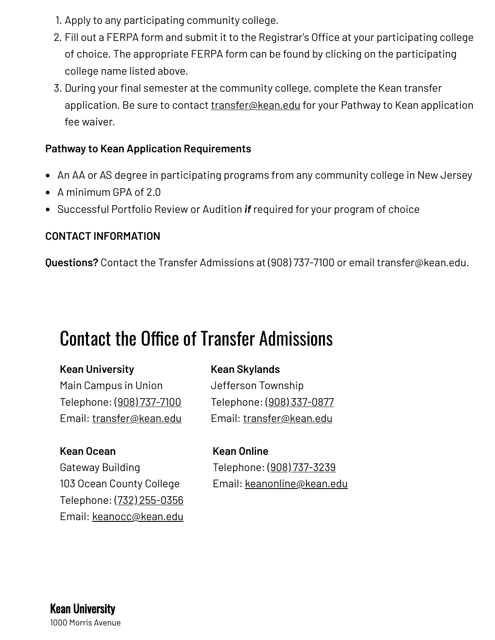- 1. Apply to any participating community college.
- 2. Fill out a FERPA form and submit it to the Registrar's Office at your participating college of choice. The appropriate FERPA form can be found by clicking on the participating college name listed above.
- 3. During your final semester at the community college, complete the Kean transfer application. Be sure to contact [transfer@kean.edu](mailto:transfer@kean.edu) for your Pathway to Kean application fee waiver.

#### **Pathway to Kean Application Requirements**

- An AA or AS degree in participating programs from any community college in New Jersey
- A minimum GPA of 2.0
- Successful Portfolio Review or Audition *if* required for your program of choice

# **CONTACT INFORMATION**

**Questions?** Contact the Transfer Admissions at (908) 737-7100 or email transfer@kean.edu.

# Contact the Office of Transfer Admissions

# **Kean University**

Main Campus in Union Telephone: (908) [737-7100](tel:%28908%29737-7100) Email: [transfer@kean.edu](mailto:transfer@kean.edu)

# **Kean Ocean**

Gateway Building 103 Ocean County College Telephone: (732) [255-0356](tel:%28732%29255-0356) Email: [keanocc@kean.edu](mailto:keanocc@kean.edu)

# **Kean Skylands**

Jefferson Township Telephone: (908) [337-0877](tel:%28908%29337-0877) Email: [transfer@kean.edu](mailto:transfer@kean.edu)

# **Kean Online**

Telephone: (908) [737-3239](tel:%28908%29737-3239) Email: [keanonline@kean.edu](mailto:keanonline@kean.edu)